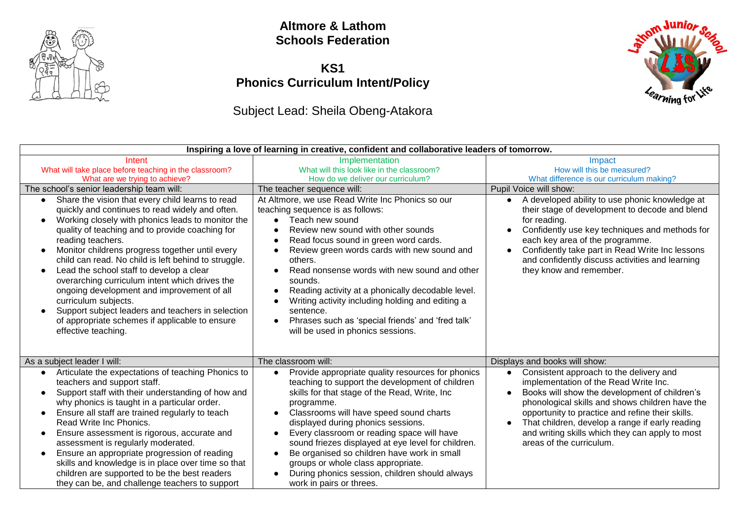

### **Altmore & Lathom Schools Federation**

## **KS1 Phonics Curriculum Intent/Policy**

# Subject Lead: Sheila Obeng-Atakora



| Inspiring a love of learning in creative, confident and collaborative leaders of tomorrow.                                                                                                                                                                                                                                                                                                                                                                                                                                                                                                                                                                                                                                        |                                                                                                                                                                                                                                                                                                                                                                                                                                                                                                                                                           |                                                                                                                                                                                                                                                                                                                                                                                                                          |
|-----------------------------------------------------------------------------------------------------------------------------------------------------------------------------------------------------------------------------------------------------------------------------------------------------------------------------------------------------------------------------------------------------------------------------------------------------------------------------------------------------------------------------------------------------------------------------------------------------------------------------------------------------------------------------------------------------------------------------------|-----------------------------------------------------------------------------------------------------------------------------------------------------------------------------------------------------------------------------------------------------------------------------------------------------------------------------------------------------------------------------------------------------------------------------------------------------------------------------------------------------------------------------------------------------------|--------------------------------------------------------------------------------------------------------------------------------------------------------------------------------------------------------------------------------------------------------------------------------------------------------------------------------------------------------------------------------------------------------------------------|
| Intent<br>What will take place before teaching in the classroom?<br>What are we trying to achieve?                                                                                                                                                                                                                                                                                                                                                                                                                                                                                                                                                                                                                                | Implementation<br>What will this look like in the classroom?<br>How do we deliver our curriculum?                                                                                                                                                                                                                                                                                                                                                                                                                                                         | Impact<br>How will this be measured?<br>What difference is our curriculum making?                                                                                                                                                                                                                                                                                                                                        |
| The school's senior leadership team will:<br>Share the vision that every child learns to read<br>$\bullet$<br>quickly and continues to read widely and often.<br>Working closely with phonics leads to monitor the<br>$\bullet$<br>quality of teaching and to provide coaching for<br>reading teachers.<br>Monitor childrens progress together until every<br>child can read. No child is left behind to struggle.<br>Lead the school staff to develop a clear<br>$\bullet$<br>overarching curriculum intent which drives the<br>ongoing development and improvement of all<br>curriculum subjects.<br>Support subject leaders and teachers in selection<br>of appropriate schemes if applicable to ensure<br>effective teaching. | The teacher sequence will:<br>At Altmore, we use Read Write Inc Phonics so our<br>teaching sequence is as follows:<br>Teach new sound<br>Review new sound with other sounds<br>Read focus sound in green word cards.<br>Review green words cards with new sound and<br>others.<br>Read nonsense words with new sound and other<br>sounds.<br>Reading activity at a phonically decodable level.<br>Writing activity including holding and editing a<br>sentence.<br>Phrases such as 'special friends' and 'fred talk'<br>will be used in phonics sessions. | Pupil Voice will show:<br>• A developed ability to use phonic knowledge at<br>their stage of development to decode and blend<br>for reading.<br>Confidently use key techniques and methods for<br>each key area of the programme.<br>Confidently take part in Read Write Inc lessons<br>and confidently discuss activities and learning<br>they know and remember.                                                       |
| As a subject leader I will:<br>Articulate the expectations of teaching Phonics to<br>$\bullet$<br>teachers and support staff.<br>Support staff with their understanding of how and<br>$\bullet$<br>why phonics is taught in a particular order.<br>Ensure all staff are trained regularly to teach<br>$\bullet$<br>Read Write Inc Phonics.<br>Ensure assessment is rigorous, accurate and<br>$\bullet$<br>assessment is regularly moderated.<br>Ensure an appropriate progression of reading<br>$\bullet$<br>skills and knowledge is in place over time so that<br>children are supported to be the best readers<br>they can be, and challenge teachers to support                                                                | The classroom will:<br>Provide appropriate quality resources for phonics<br>teaching to support the development of children<br>skills for that stage of the Read, Write, Inc.<br>programme.<br>Classrooms will have speed sound charts<br>displayed during phonics sessions.<br>Every classroom or reading space will have<br>sound friezes displayed at eye level for children.<br>Be organised so children have work in small<br>groups or whole class appropriate.<br>During phonics session, children should always<br>work in pairs or threes.       | Displays and books will show:<br>Consistent approach to the delivery and<br>$\bullet$<br>implementation of the Read Write Inc.<br>Books will show the development of children's<br>phonological skills and shows children have the<br>opportunity to practice and refine their skills.<br>That children, develop a range if early reading<br>and writing skills which they can apply to most<br>areas of the curriculum. |